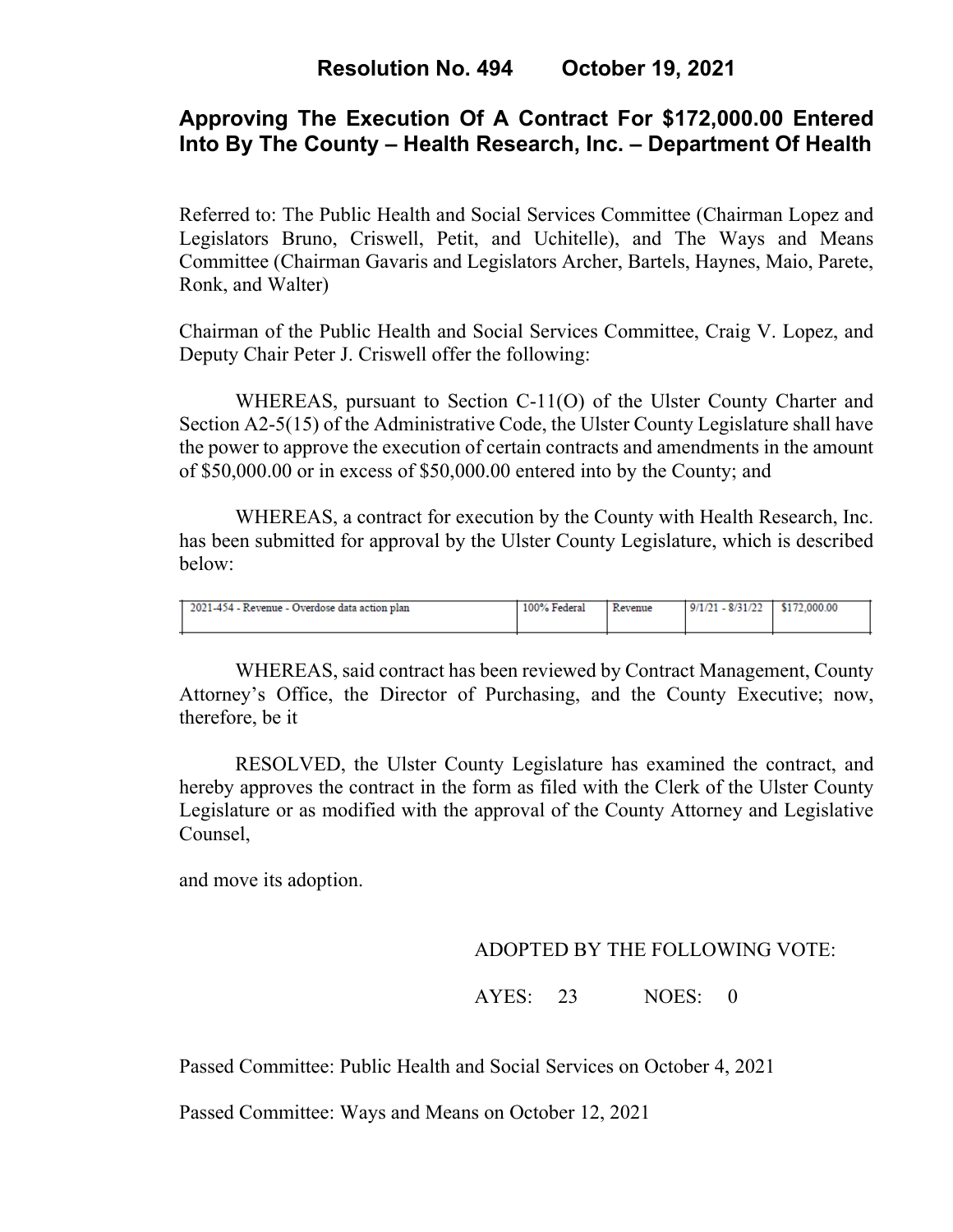# **Approving The Execution Of A Contract For \$172,000.00 Entered Into By The County – Health Research, Inc. – Department Of Health**

Referred to: The Public Health and Social Services Committee (Chairman Lopez and Legislators Bruno, Criswell, Petit, and Uchitelle), and The Ways and Means Committee (Chairman Gavaris and Legislators Archer, Bartels, Haynes, Maio, Parete, Ronk, and Walter)

Chairman of the Public Health and Social Services Committee, Craig V. Lopez, and Deputy Chair Peter J. Criswell offer the following:

WHEREAS, pursuant to Section C-11(O) of the Ulster County Charter and Section A2-5(15) of the Administrative Code, the Ulster County Legislature shall have the power to approve the execution of certain contracts and amendments in the amount of \$50,000.00 or in excess of \$50,000.00 entered into by the County; and

WHEREAS, a contract for execution by the County with Health Research, Inc. has been submitted for approval by the Ulster County Legislature, which is described below:

| 2021-454 - Revenue - Overdose data action plan | 100% Federal | Revenue | $9/1/21 - 8/31/22$ | \$172,000.00 |
|------------------------------------------------|--------------|---------|--------------------|--------------|
|                                                |              |         |                    |              |
|                                                |              |         |                    |              |
|                                                |              |         |                    |              |

WHEREAS, said contract has been reviewed by Contract Management, County Attorney's Office, the Director of Purchasing, and the County Executive; now, therefore, be it

RESOLVED, the Ulster County Legislature has examined the contract, and hereby approves the contract in the form as filed with the Clerk of the Ulster County Legislature or as modified with the approval of the County Attorney and Legislative Counsel,

and move its adoption.

### ADOPTED BY THE FOLLOWING VOTE:

AYES: 23 NOES: 0

Passed Committee: Public Health and Social Services on October 4, 2021

Passed Committee: Ways and Means on October 12, 2021